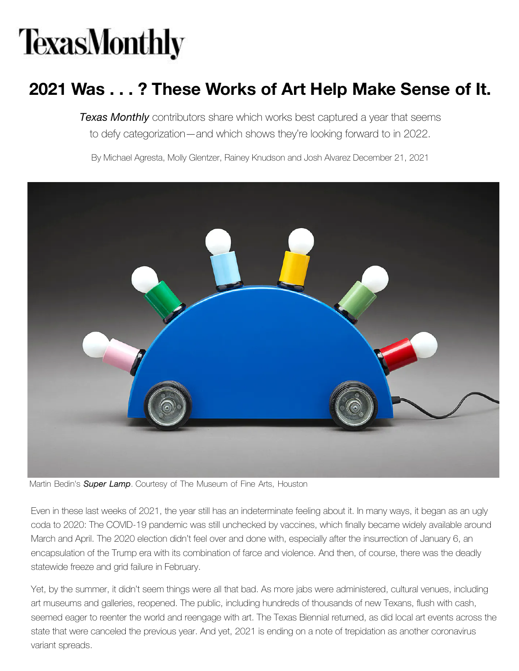## **TexasMonthly**

## **2021 Was . . . ? These Works of Art Help Make Sense of It.**

*Texas Monthly* contributors share which works best captured a year that seems to defy categorization—and which shows they're looking forward to in 2022.

By [Michael Agresta](https://www.texasmonthly.com/author/michael-agresta/), [Molly Glentzer](https://www.texasmonthly.com/author/molly-glentzer/), [Rainey Knudson](https://www.texasmonthly.com/author/rainey-knudson/) and [Josh Alvarez December 21, 2021](https://www.texasmonthly.com/author/josh-alvarez/)



Martin Bedin's *Super Lamp*. Courtesy of The Museum of Fine Arts, Houston

Even in these last weeks of 2021, the year still has an indeterminate feeling about it. In many ways, it began as an ugly coda to 2020: The COVID-19 pandemic was still unchecked by vaccines, which finally became widely available around March and April. The 2020 election didn't feel over and done with, especially after the insurrection of January 6, an encapsulation of the Trump era with its combination of farce and violence. And then, of course, there was the deadly statewide freeze and grid failure in February.

Yet, by the summer, it didn't seem things were all that bad. As more jabs were administered, cultural venues, including art museums and galleries, reopened. The public, including hundreds of thousands of new Texans, flush with cash, seemed eager to reenter the world and reengage with art. The Texas Biennial returned, [as did local a](https://subscription.texasmonthly.com/servlet/OrdersGateway?cds_mag_code=TXP&cds_page_id=261743&utm_source=texasmonthly.com&utm_medium=meter-1&utm_campaign=meter-paywall-subscribe&utm_content=vA-design1-control)rt events across the state that were canceled the previous year. And yet, 2021 is ending on a note of trepidation as another coronavirus variant spreads.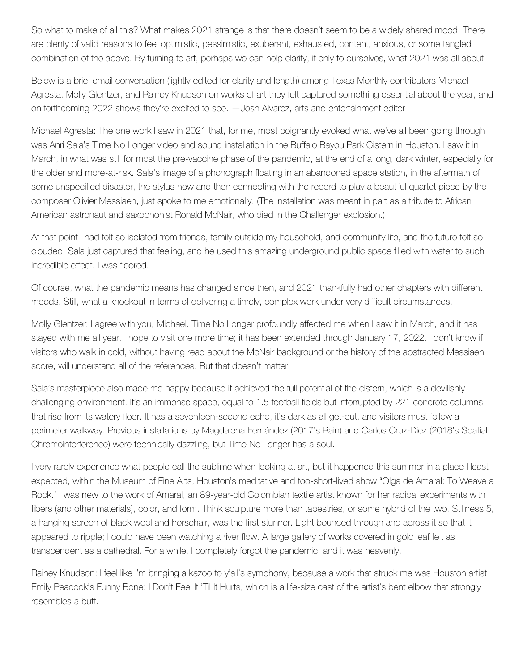So what to make of all this? What makes 2021 strange is that there doesn't seem to be a widely shared mood. There are plenty of valid reasons to feel optimistic, pessimistic, exuberant, exhausted, content, anxious, or some tangled combination of the above. By turning to art, perhaps we can help clarify, if only to ourselves, what 2021 was all about.

Below is a brief email conversation (lightly edited for clarity and length) among Texas Monthly contributors Michael Agresta, Molly Glentzer, and Rainey Knudson on works of art they felt captured something essential about the year, and on forthcoming 2022 shows they're excited to see. —Josh Alvarez, arts and entertainment editor

Michael Agresta: The one work I saw in 2021 that, for me, most poignantly evoked what we've all been going through was Anri Sala's Time No Longer video and sound installation in the Buffalo Bayou Park Cistern in Houston. I saw it in March, in what was still for most the pre-vaccine phase of the pandemic, at the end of a long, dark winter, especially for the older and more-at-risk. Sala's image of a phonograph floating in an abandoned space station, in the aftermath of some unspecified disaster, the stylus now and then connecting with the record to play a beautiful quartet piece by the composer Olivier Messiaen, just spoke to me emotionally. (The installation was meant in part as a tribute to African American astronaut and saxophonist Ronald McNair, who died in the Challenger explosion.)

At that point I had felt so isolated from friends, family outside my household, and community life, and the future felt so clouded. Sala just captured that feeling, and he used this amazing underground public space filled with water to such incredible effect. I was floored.

Of course, what the pandemic means has changed since then, and 2021 thankfully had other chapters with different moods. Still, what a knockout in terms of delivering a timely, complex work under very difficult circumstances.

Molly Glentzer: I agree with you, Michael. Time No Longer profoundly affected me when I saw it in March, and it has stayed with me all year. I hope to visit one more time; it has been extended through January 17, 2022. I don't know if visitors who walk in cold, without having read about the McNair background or the history of the abstracted Messiaen score, will understand all of the references. But that doesn't matter.

Sala's masterpiece also made me happy because it achieved the full potential of the cistern, which is a devilishly challenging environment. It's an immense space, equal to 1.5 football fields but interrupted by 221 concrete columns that rise from its watery floor. It has a seventeen-second echo, it's dark as all get-out, and visitors must follow a perimeter walkway. Previous installations by Magdalena Fernández (2017's Rain) and Carlos Cruz-Diez (2018's Spatial Chromointerference) were technically dazzling, but Time No Longer has a soul.

I very rarely experience what people call the sublime when looking at art, but it happened this summer in a place I least expected, within the Museum of Fine Arts, Houston's meditative and too-short-lived show "Olga de Amaral: To Weave a Rock." I was new to the work of Amaral, an 89-year-old Colombian textile artist known for her radical experiments with fibers (and other materials), color, and form. Think sculpture more than tapestries, or some hybrid of the two. Stillness 5, a hanging screen of black wool and horsehair, was the first stunner. Light bounced through and across it so that it appeared to ripple; I could have been watching a river flow. A large gallery of works covered in gold leaf felt as transcendent as a cathedral. For a while, I completely forgot the pandemic, and it was heavenly.

Rainey Knudson: I feel like I'm bringing a kazoo to y'all's symphony, because a work that struck me was Houston artist Emily Peacock's Funny Bone: I Don't Feel It 'Til It Hurts, which is a life-size cast of the artist's bent elbow that strongly resembles a butt.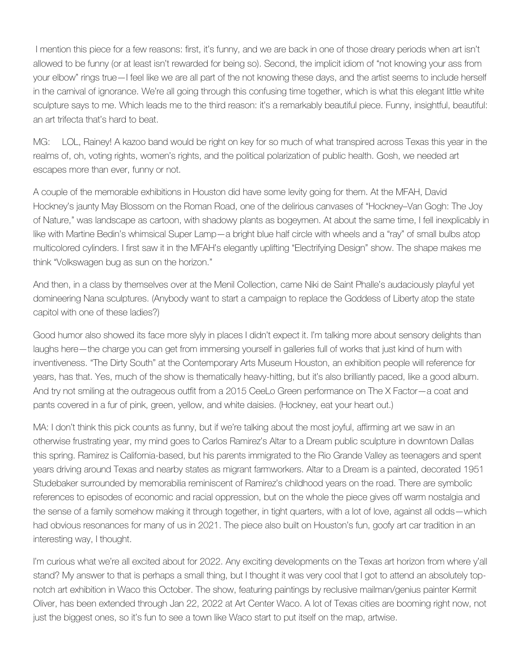I mention this piece for a few reasons: first, it's funny, and we are back in one of those dreary periods when art isn't allowed to be funny (or at least isn't rewarded for being so). Second, the implicit idiom of "not knowing your ass from your elbow" rings true—I feel like we are all part of the not knowing these days, and the artist seems to include herself in the carnival of ignorance. We're all going through this confusing time together, which is what this elegant little white sculpture says to me. Which leads me to the third reason: it's a remarkably beautiful piece. Funny, insightful, beautiful: an art trifecta that's hard to beat.

MG: LOL, Rainey! A kazoo band would be right on key for so much of what transpired across Texas this year in the realms of, oh, voting rights, women's rights, and the political polarization of public health. Gosh, we needed art escapes more than ever, funny or not.

A couple of the memorable exhibitions in Houston did have some levity going for them. At the MFAH, David Hockney's jaunty May Blossom on the Roman Road, one of the delirious canvases of "Hockney–Van Gogh: The Joy of Nature," was landscape as cartoon, with shadowy plants as bogeymen. At about the same time, I fell inexplicably in like with Martine Bedin's whimsical Super Lamp—a bright blue half circle with wheels and a "ray" of small bulbs atop multicolored cylinders. I first saw it in the MFAH's elegantly uplifting "Electrifying Design" show. The shape makes me think "Volkswagen bug as sun on the horizon."

And then, in a class by themselves over at the Menil Collection, came Niki de Saint Phalle's audaciously playful yet domineering Nana sculptures. (Anybody want to start a campaign to replace the Goddess of Liberty atop the state capitol with one of these ladies?)

Good humor also showed its face more slyly in places I didn't expect it. I'm talking more about sensory delights than laughs here—the charge you can get from immersing yourself in galleries full of works that just kind of hum with inventiveness. "The Dirty South" at the Contemporary Arts Museum Houston, an exhibition people will reference for years, has that. Yes, much of the show is thematically heavy-hitting, but it's also brilliantly paced, like a good album. And try not smiling at the outrageous outfit from a 2015 CeeLo Green performance on The X Factor—a coat and pants covered in a fur of pink, green, yellow, and white daisies. (Hockney, eat your heart out.)

MA: I don't think this pick counts as funny, but if we're talking about the most joyful, affirming art we saw in an otherwise frustrating year, my mind goes to Carlos Ramirez's Altar to a Dream public sculpture in downtown Dallas this spring. Ramirez is California-based, but his parents immigrated to the Rio Grande Valley as teenagers and spent years driving around Texas and nearby states as migrant farmworkers. Altar to a Dream is a painted, decorated 1951 Studebaker surrounded by memorabilia reminiscent of Ramirez's childhood years on the road. There are symbolic references to episodes of economic and racial oppression, but on the whole the piece gives off warm nostalgia and the sense of a family somehow making it through together, in tight quarters, with a lot of love, against all odds—which had obvious resonances for many of us in 2021. The piece also built on Houston's fun, goofy art car tradition in an interesting way, I thought.

I'm curious what we're all excited about for 2022. Any exciting developments on the Texas art horizon from where y'all stand? My answer to that is perhaps a small thing, but I thought it was very cool that I got to attend an absolutely topnotch art exhibition in Waco this October. The show, featuring paintings by reclusive mailman/genius painter Kermit Oliver, has been extended through Jan 22, 2022 at Art Center Waco. A lot of Texas cities are booming right now, not just the biggest ones, so it's fun to see a town like Waco start to put itself on the map, artwise.